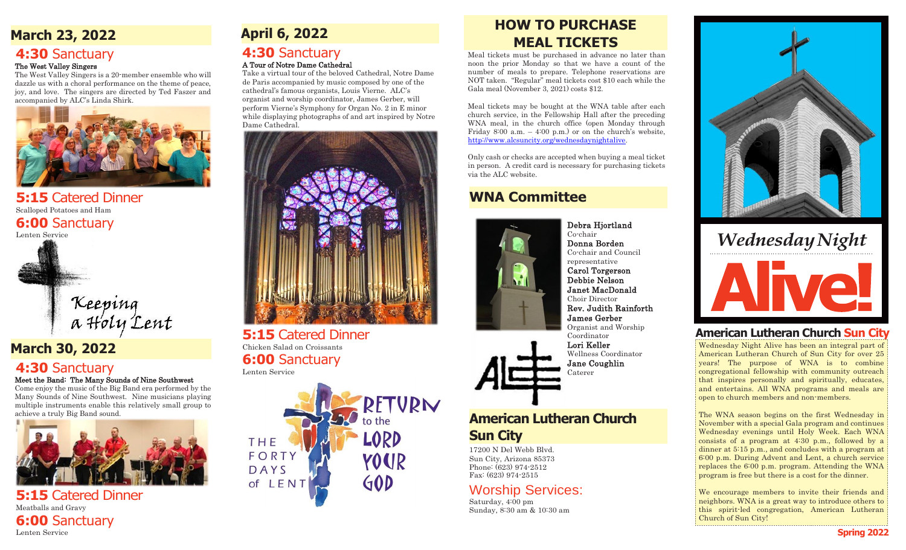# **March 23, 2022**

### **4:30** Sanctuary The West Valley Singers

The West Valley Singers is a 20-member ensemble who will dazzle us with a choral performance on the theme of peace, joy, and love. The singers are directed by Ted Faszer and accompanied by ALC's Linda Shirk.



**5:15** Catered Dinner Scalloped Potatoes and Ham **6:00** Sanctuary Lenten Service



# **March 30, 2022**

# **4:30** Sanctuary

### Meet the Band: The Many Sounds of Nine Southwest

Come enjoy the music of the Big Band era performed by the Many Sounds of Nine Southwest. Nine musicians playing multiple instruments enable this relatively small group to achieve a truly Big Band sound.



**5:15** Catered Dinner Meatballs and Gravy **6:00** Sanctuary Lenten Service

# **4:30** Sanctuary

### A Tour of Notre Dame Cathedral

Take a virtual tour of the beloved Cathedral, Notre Dame de Paris accompanied by music composed by one of the cathedral's famous organists, Louis Vierne. ALC's organist and worship coordinator, James Gerber, will perform Vierne's Symphony for Organ No. 2 in E minor while displaying photographs of and art inspired by Notre Dame Cathedral.



**5:15** Catered Dinner Chicken Salad on Croissants **6:00** Sanctuary Lenten Service



# **April 6, 2022 HOW TO PURCHASE MEAL TICKETS**

Meal tickets must be purchased in advance no later than noon the prior Monday so that we have a count of the number of meals to prepare. Telephone reservations are NOT taken. "Regular" meal tickets cost \$10 each while the Gala meal (November 3, 2021) costs \$12.

Meal tickets may be bought at the WNA table after each church service, in the Fellowship Hall after the preceding WNA meal, in the church office (open Monday through Friday 8:00 a.m.  $-$  4:00 p.m.) or on the church's website, [http://www.alcsuncity.org/wednesdaynightalive.](http://www.alcsuncity.org/wednesdaynightalive)

Only cash or checks are accepted when buying a meal ticket in person. A credit card is necessary for purchasing tickets via the ALC website.

# **WNA Committee**



Debra Hjortland Co-chair Donna Borden Co-chair and Council representative Carol Torgerson Debbie Nelson Janet MacDonald Choir Director Rev. Judith Rainforth James Gerber Organist and Worship Coordinator Lori Keller Wellness Coordinator Jane Coughlin Caterer

# **American Lutheran Church Sun City**

17200 N Del Webb Blvd. Sun City, Arizona 85373 Phone: (623) 974-2512 Fax: (623) 974-2515

# Worship Services:

Saturday, 4:00 pm Sunday, 8:30 am & 10:30 am



# Wednesday Night

# **American Lutheran Church Sun City**

Wednesday Night Alive has been an integral part of American Lutheran Church of Sun City for over 25 years! The purpose of WNA is to combine congregational fellowship with community outreach that inspires personally and spiritually, educates, and entertains. All WNA programs and meals are open to church members and non-members.

The WNA season begins on the first Wednesday in November with a special Gala program and continues Wednesday evenings until Holy Week. Each WNA consists of a program at 4:30 p.m., followed by a dinner at 5:15 p.m., and concludes with a program at 6:00 p.m. During Advent and Lent, a church service replaces the 6:00 p.m. program. Attending the WNA program is free but there is a cost for the dinner.

We encourage members to invite their friends and neighbors. WNA is a great way to introduce others to this spirit-led congregation, American Lutheran Church of Sun City!